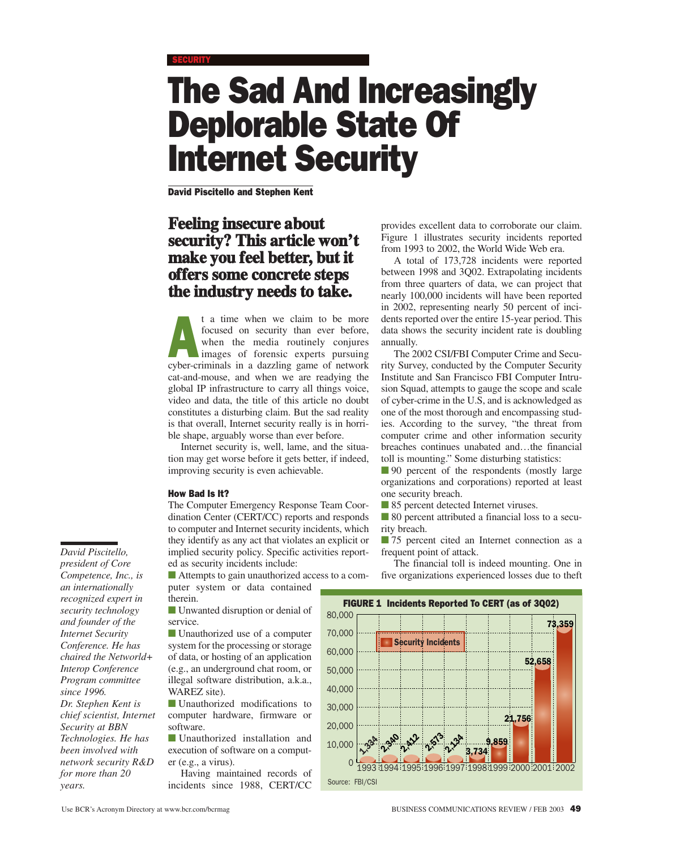# The Sad And Increasingly Deplorable State Of Internet Security

David Piscitello and Stephen Kent

# **Feeling insecure about security? This article won't make you feel better, but it offers some concrete steps the industry needs to take.**

t a time when we claim to be more<br>focused on security than ever before,<br>when the media routinely conjures<br>images of forensic experts pursuing<br>where riminals in a dazzling game of network focused on security than ever before, when the media routinely conjures cyber-criminals in a dazzling game of network cat-and-mouse, and when we are readying the global IP infrastructure to carry all things voice, video and data, the title of this article no doubt constitutes a disturbing claim. But the sad reality is that overall, Internet security really is in horrible shape, arguably worse than ever before.

Internet security is, well, lame, and the situation may get worse before it gets better, if indeed, improving security is even achievable.

#### How Bad Is It?

The Computer Emergency Response Team Coordination Center (CERT/CC) reports and responds to computer and Internet security incidents, which they identify as any act that violates an explicit or implied security policy. Specific activities reported as security incidents include:

■ Attempts to gain unauthorized access to a computer system or data contained therein.

■ Unwanted disruption or denial of service.

■ Unauthorized use of a computer system for the processing or storage of data, or hosting of an application (e.g., an underground chat room, or illegal software distribution, a.k.a., WAREZ site).

■ Unauthorized modifications to computer hardware, firmware or software.

■ Unauthorized installation and execution of software on a computer (e.g., a virus).

Having maintained records of incidents since 1988, CERT/CC

provides excellent data to corroborate our claim. Figure 1 illustrates security incidents reported from 1993 to 2002, the World Wide Web era.

A total of 173,728 incidents were reported between 1998 and 3Q02. Extrapolating incidents from three quarters of data, we can project that nearly 100,000 incidents will have been reported in 2002, representing nearly 50 percent of incidents reported over the entire 15-year period. This data shows the security incident rate is doubling annually.

The 2002 CSI/FBI Computer Crime and Security Survey, conducted by the Computer Security Institute and San Francisco FBI Computer Intrusion Squad, attempts to gauge the scope and scale of cyber-crime in the U.S, and is acknowledged as one of the most thorough and encompassing studies. According to the survey, "the threat from computer crime and other information security breaches continues unabated and…the financial toll is mounting." Some disturbing statistics:

■ 90 percent of the respondents (mostly large organizations and corporations) reported at least one security breach.

■ 85 percent detected Internet viruses.

■ 80 percent attributed a financial loss to a security breach.

■ 75 percent cited an Internet connection as a frequent point of attack.

The financial toll is indeed mounting. One in five organizations experienced losses due to theft



*David Piscitello, president of Core Competence, Inc., is an internationally recognized expert in security technology and founder of the Internet Security Conference. He has chaired the Networld+ Interop Conference Program committee since 1996. Dr. Stephen Kent is chief scientist, Internet Security at BBN Technologies. He has been involved with network security R&D for more than 20*

*years.*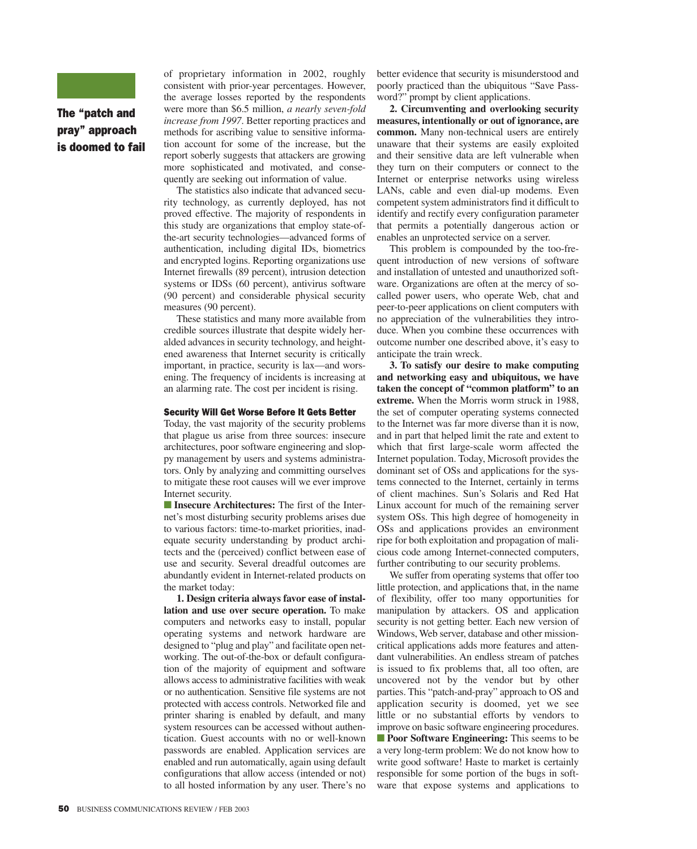

The "patch and pray" approach is doomed to fail of proprietary information in 2002, roughly consistent with prior-year percentages. However, the average losses reported by the respondents were more than \$6.5 million, *a nearly seven-fold increase from 1997*. Better reporting practices and methods for ascribing value to sensitive information account for some of the increase, but the report soberly suggests that attackers are growing more sophisticated and motivated, and consequently are seeking out information of value.

The statistics also indicate that advanced security technology, as currently deployed, has not proved effective. The majority of respondents in this study are organizations that employ state-ofthe-art security technologies—advanced forms of authentication, including digital IDs, biometrics and encrypted logins. Reporting organizations use Internet firewalls (89 percent), intrusion detection systems or IDSs (60 percent), antivirus software (90 percent) and considerable physical security measures (90 percent).

These statistics and many more available from credible sources illustrate that despite widely heralded advances in security technology, and heightened awareness that Internet security is critically important, in practice, security is lax—and worsening. The frequency of incidents is increasing at an alarming rate. The cost per incident is rising.

#### Security Will Get Worse Before It Gets Better

Today, the vast majority of the security problems that plague us arise from three sources: insecure architectures, poor software engineering and sloppy management by users and systems administrators. Only by analyzing and committing ourselves to mitigate these root causes will we ever improve Internet security.

■ **Insecure Architectures:** The first of the Internet's most disturbing security problems arises due to various factors: time-to-market priorities, inadequate security understanding by product architects and the (perceived) conflict between ease of use and security. Several dreadful outcomes are abundantly evident in Internet-related products on the market today:

**1. Design criteria always favor ease of installation and use over secure operation.** To make computers and networks easy to install, popular operating systems and network hardware are designed to "plug and play" and facilitate open networking. The out-of-the-box or default configuration of the majority of equipment and software allows access to administrative facilities with weak or no authentication. Sensitive file systems are not protected with access controls. Networked file and printer sharing is enabled by default, and many system resources can be accessed without authentication. Guest accounts with no or well-known passwords are enabled. Application services are enabled and run automatically, again using default configurations that allow access (intended or not) to all hosted information by any user. There's no better evidence that security is misunderstood and poorly practiced than the ubiquitous "Save Password?" prompt by client applications.

**2. Circumventing and overlooking security measures, intentionally or out of ignorance, are common.** Many non-technical users are entirely unaware that their systems are easily exploited and their sensitive data are left vulnerable when they turn on their computers or connect to the Internet or enterprise networks using wireless LANs, cable and even dial-up modems. Even competent system administrators find it difficult to identify and rectify every configuration parameter that permits a potentially dangerous action or enables an unprotected service on a server.

This problem is compounded by the too-frequent introduction of new versions of software and installation of untested and unauthorized software. Organizations are often at the mercy of socalled power users, who operate Web, chat and peer-to-peer applications on client computers with no appreciation of the vulnerabilities they introduce. When you combine these occurrences with outcome number one described above, it's easy to anticipate the train wreck.

**3. To satisfy our desire to make computing and networking easy and ubiquitous, we have taken the concept of "common platform" to an extreme.** When the Morris worm struck in 1988, the set of computer operating systems connected to the Internet was far more diverse than it is now, and in part that helped limit the rate and extent to which that first large-scale worm affected the Internet population. Today, Microsoft provides the dominant set of OSs and applications for the systems connected to the Internet, certainly in terms of client machines. Sun's Solaris and Red Hat Linux account for much of the remaining server system OSs. This high degree of homogeneity in OSs and applications provides an environment ripe for both exploitation and propagation of malicious code among Internet-connected computers, further contributing to our security problems.

We suffer from operating systems that offer too little protection, and applications that, in the name of flexibility, offer too many opportunities for manipulation by attackers. OS and application security is not getting better. Each new version of Windows, Web server, database and other missioncritical applications adds more features and attendant vulnerabilities. An endless stream of patches is issued to fix problems that, all too often, are uncovered not by the vendor but by other parties. This "patch-and-pray" approach to OS and application security is doomed, yet we see little or no substantial efforts by vendors to improve on basic software engineering procedures. ■ **Poor Software Engineering:** This seems to be a very long-term problem: We do not know how to write good software! Haste to market is certainly responsible for some portion of the bugs in software that expose systems and applications to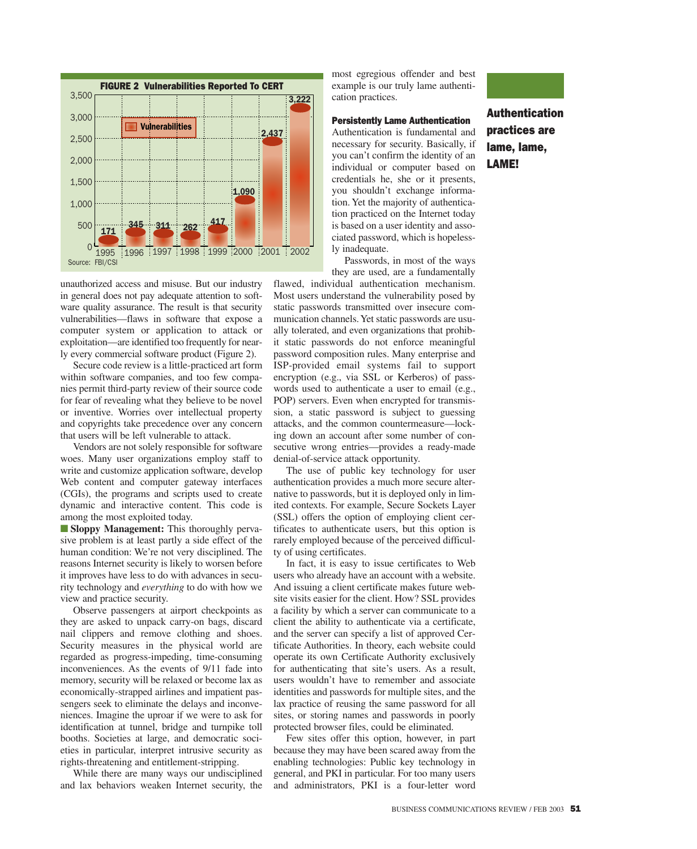

unauthorized access and misuse. But our industry in general does not pay adequate attention to software quality assurance. The result is that security vulnerabilities—flaws in software that expose a computer system or application to attack or exploitation—are identified too frequently for nearly every commercial software product (Figure 2).

Secure code review is a little-practiced art form within software companies, and too few companies permit third-party review of their source code for fear of revealing what they believe to be novel or inventive. Worries over intellectual property and copyrights take precedence over any concern that users will be left vulnerable to attack.

Vendors are not solely responsible for software woes. Many user organizations employ staff to write and customize application software, develop Web content and computer gateway interfaces (CGIs), the programs and scripts used to create dynamic and interactive content. This code is among the most exploited today.

■ **Sloppy Management:** This thoroughly pervasive problem is at least partly a side effect of the human condition: We're not very disciplined. The reasons Internet security is likely to worsen before it improves have less to do with advances in security technology and *everything* to do with how we view and practice security.

Observe passengers at airport checkpoints as they are asked to unpack carry-on bags, discard nail clippers and remove clothing and shoes. Security measures in the physical world are regarded as progress-impeding, time-consuming inconveniences. As the events of 9/11 fade into memory, security will be relaxed or become lax as economically-strapped airlines and impatient passengers seek to eliminate the delays and inconveniences. Imagine the uproar if we were to ask for identification at tunnel, bridge and turnpike toll booths. Societies at large, and democratic societies in particular, interpret intrusive security as rights-threatening and entitlement-stripping.

While there are many ways our undisciplined and lax behaviors weaken Internet security, the most egregious offender and best example is our truly lame authentication practices.

### Persistently Lame Authentication

Authentication is fundamental and necessary for security. Basically, if you can't confirm the identity of an individual or computer based on credentials he, she or it presents, you shouldn't exchange information. Yet the majority of authentication practiced on the Internet today is based on a user identity and associated password, which is hopelessly inadequate.

Passwords, in most of the ways they are used, are a fundamentally

flawed, individual authentication mechanism. Most users understand the vulnerability posed by static passwords transmitted over insecure communication channels. Yet static passwords are usually tolerated, and even organizations that prohibit static passwords do not enforce meaningful password composition rules. Many enterprise and ISP-provided email systems fail to support encryption (e.g., via SSL or Kerberos) of passwords used to authenticate a user to email (e.g., POP) servers. Even when encrypted for transmission, a static password is subject to guessing attacks, and the common countermeasure—locking down an account after some number of consecutive wrong entries—provides a ready-made denial-of-service attack opportunity.

The use of public key technology for user authentication provides a much more secure alternative to passwords, but it is deployed only in limited contexts. For example, Secure Sockets Layer (SSL) offers the option of employing client certificates to authenticate users, but this option is rarely employed because of the perceived difficulty of using certificates.

In fact, it is easy to issue certificates to Web users who already have an account with a website. And issuing a client certificate makes future website visits easier for the client. How? SSL provides a facility by which a server can communicate to a client the ability to authenticate via a certificate, and the server can specify a list of approved Certificate Authorities. In theory, each website could operate its own Certificate Authority exclusively for authenticating that site's users. As a result, users wouldn't have to remember and associate identities and passwords for multiple sites, and the lax practice of reusing the same password for all sites, or storing names and passwords in poorly protected browser files, could be eliminated.

Few sites offer this option, however, in part because they may have been scared away from the enabling technologies: Public key technology in general, and PKI in particular. For too many users and administrators, PKI is a four-letter word



Authentication practices are lame, lame, LAME!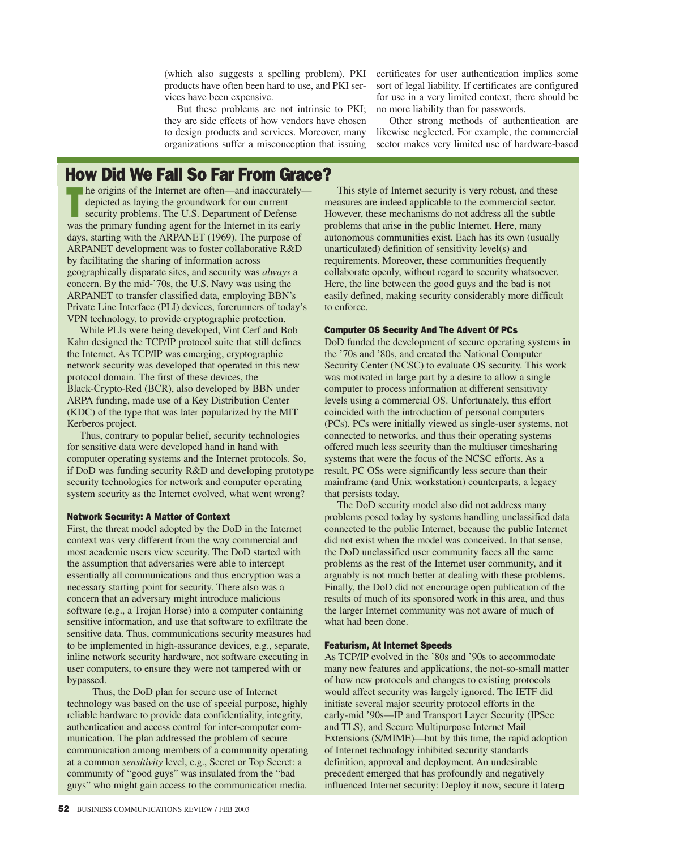products have often been hard to use, and PKI services have been expensive.

But these problems are not intrinsic to PKI; no more liability than for passwords. they are side effects of how vendors have chosen to design products and services. Moreover, many organizations suffer a misconception that issuing

(which also suggests a spelling problem). PKI certificates for user authentication implies some sort of legal liability. If certificates are configured for use in a very limited context, there should be

> Other strong methods of authentication are likewise neglected. For example, the commercial sector makes very limited use of hardware-based

# How Did We Fall So Far From Grace?

The origins of the Internet are often—and inaccurately depicted as laying the groundwork for our current security problems. The U.S. Department of Defense was the primary funding agent for the Internet in its early days, starting with the ARPANET (1969). The purpose of ARPANET development was to foster collaborative R&D by facilitating the sharing of information across geographically disparate sites, and security was *always* a concern. By the mid-'70s, the U.S. Navy was using the ARPANET to transfer classified data, employing BBN's Private Line Interface (PLI) devices, forerunners of today's VPN technology, to provide cryptographic protection.

While PLIs were being developed, Vint Cerf and Bob Kahn designed the TCP/IP protocol suite that still defines the Internet. As TCP/IP was emerging, cryptographic network security was developed that operated in this new protocol domain. The first of these devices, the Black-Crypto-Red (BCR), also developed by BBN under ARPA funding, made use of a Key Distribution Center (KDC) of the type that was later popularized by the MIT Kerberos project.

Thus, contrary to popular belief, security technologies for sensitive data were developed hand in hand with computer operating systems and the Internet protocols. So, if DoD was funding security R&D and developing prototype security technologies for network and computer operating system security as the Internet evolved, what went wrong?

#### Network Security: A Matter of Context

First, the threat model adopted by the DoD in the Internet context was very different from the way commercial and most academic users view security. The DoD started with the assumption that adversaries were able to intercept essentially all communications and thus encryption was a necessary starting point for security. There also was a concern that an adversary might introduce malicious software (e.g., a Trojan Horse) into a computer containing sensitive information, and use that software to exfiltrate the sensitive data. Thus, communications security measures had to be implemented in high-assurance devices, e.g., separate, inline network security hardware, not software executing in user computers, to ensure they were not tampered with or bypassed.

Thus, the DoD plan for secure use of Internet technology was based on the use of special purpose, highly reliable hardware to provide data confidentiality, integrity, authentication and access control for inter-computer communication. The plan addressed the problem of secure communication among members of a community operating at a common *sensitivity* level, e.g., Secret or Top Secret: a community of "good guys" was insulated from the "bad guys" who might gain access to the communication media.

This style of Internet security is very robust, and these measures are indeed applicable to the commercial sector. However, these mechanisms do not address all the subtle problems that arise in the public Internet. Here, many autonomous communities exist. Each has its own (usually unarticulated) definition of sensitivity level(s) and requirements. Moreover, these communities frequently collaborate openly, without regard to security whatsoever. Here, the line between the good guys and the bad is not easily defined, making security considerably more difficult to enforce.

#### Computer OS Security And The Advent Of PCs

DoD funded the development of secure operating systems in the '70s and '80s, and created the National Computer Security Center (NCSC) to evaluate OS security. This work was motivated in large part by a desire to allow a single computer to process information at different sensitivity levels using a commercial OS. Unfortunately, this effort coincided with the introduction of personal computers (PCs). PCs were initially viewed as single-user systems, not connected to networks, and thus their operating systems offered much less security than the multiuser timesharing systems that were the focus of the NCSC efforts. As a result, PC OSs were significantly less secure than their mainframe (and Unix workstation) counterparts, a legacy that persists today.

The DoD security model also did not address many problems posed today by systems handling unclassified data connected to the public Internet, because the public Internet did not exist when the model was conceived. In that sense, the DoD unclassified user community faces all the same problems as the rest of the Internet user community, and it arguably is not much better at dealing with these problems. Finally, the DoD did not encourage open publication of the results of much of its sponsored work in this area, and thus the larger Internet community was not aware of much of what had been done.

#### Featurism, At Internet Speeds

As TCP/IP evolved in the '80s and '90s to accommodate many new features and applications, the not-so-small matter of how new protocols and changes to existing protocols would affect security was largely ignored. The IETF did initiate several major security protocol efforts in the early-mid '90s—IP and Transport Layer Security (IPSec and TLS), and Secure Multipurpose Internet Mail Extensions (S/MIME)—but by this time, the rapid adoption of Internet technology inhibited security standards definition, approval and deployment. An undesirable precedent emerged that has profoundly and negatively influenced Internet security: Deploy it now, secure it later